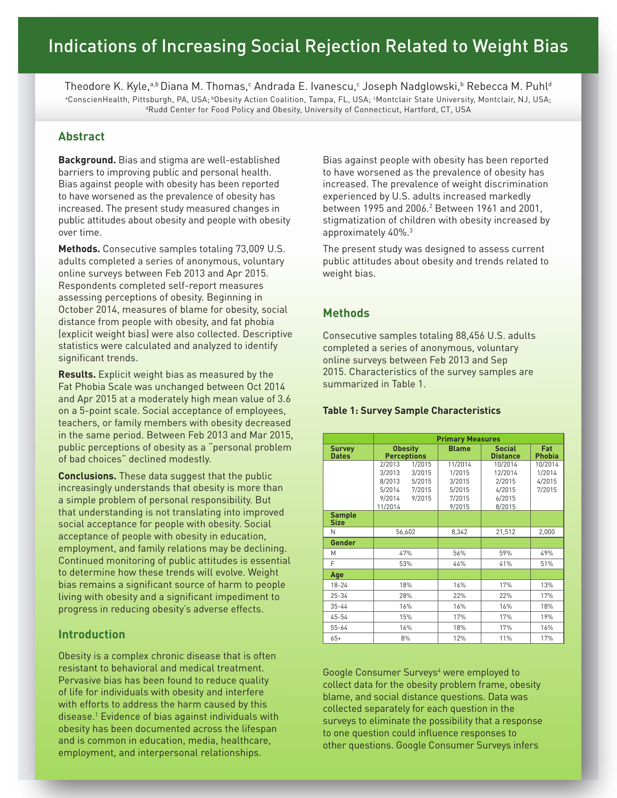Theodore K. Kyle,ªb Diana M. Thomas,° Andrada E. Ivanescu,° Joseph Nadglowski,b Rebecca M. Puhl<sup>d</sup> aConscienHealth, Pittsburgh, PA, USA; bObesity Action Coalition, Tampa, FL, USA;  $\cdot$ <sup>d</sup>Rudd Center for Food Policy and Obesity, University of Connecticut, Hartford, CT, USA

# **Abstract**

**Background.** Bias and stigma are well-established barriers to improving public and personal health. Bias against people with obesity has been reported to have worsened as the prevalence of obesity has increased. The present study measured changes in public attitudes about obesity and people with obesity over time.

**Methods.** Consecutive samples totaling 73,009 U.S. adults completed a series of anonymous, voluntary online surveys between Feb 2013 and Apr 2015. Respondents completed self-report measures assessing perceptions of obesity. Beginning in October 2014, measures of blame for obesity, social distance from people with obesity, and fat phobia (explicit weight bias) were also collected. Descriptive statistics were calculated and analyzed to identify significant trends.

**Results.** Explicit weight bias as measured by the Fat Phobia Scale was unchanged between Oct 2014 and Apr 2015 at a moderately high mean value of 3.6 on a 5-point scale. Social acceptance of employees, teachers, or family members with obesity decreased in the same period. Between Feb 2013 and Mar 2015, public perceptions of obesity as a "personal problem of bad choices" declined modestly.

**Conclusions.** These data suggest that the public increasingly understands that obesity is more than a simple problem of personal responsibility. But that understanding is not translating into improved social acceptance for people with obesity. Social acceptance of people with obesity in education, employment, and family relations may be declining. Continued monitoring of public attitudes is essential to determine how these trends will evolve. Weight bias remains a significant source of harm to people living with obesity and a significant impediment to progress in reducing obesity's adverse effects.

# **Introduction**

Obesity is a complex chronic disease that is often resistant to behavioral and medical treatment. Pervasive bias has been found to reduce quality of life for individuals with obesity and interfere with efforts to address the harm caused by this disease.1 Evidence of bias against individuals with obesity has been documented across the lifespan and is common in education, media, healthcare, employment, and interpersonal relationships.

Bias against people with obesity has been reported to have worsened as the prevalence of obesity has increased. The prevalence of weight discrimination experienced by U.S. adults increased markedly between 1995 and 2006.2 Between 1961 and 2001, stigmatization of children with obesity increased by approximately 40%.3

The present study was designed to assess current public attitudes about obesity and trends related to weight bias.

# **Methods**

Consecutive samples totaling 88,456 U.S. adults completed a series of anonymous, voluntary online surveys between Feb 2013 and Sep 2015. Characteristics of the survey samples are summarized in Table 1.

## **Table 1: Survey Sample Characteristics**

|                               | <b>Primary Measures</b>                                                                                     |                                                           |                                                            |                                       |
|-------------------------------|-------------------------------------------------------------------------------------------------------------|-----------------------------------------------------------|------------------------------------------------------------|---------------------------------------|
| <b>Survey</b><br><b>Dates</b> | <b>Obesity</b><br><b>Perceptions</b>                                                                        | <b>Blame</b>                                              | <b>Social</b><br><b>Distance</b>                           | <b>Fat</b><br><b>Phobia</b>           |
|                               | 1/2015<br>2/2013<br>3/2013<br>3/2015<br>8/2013<br>5/2015<br>5/2014<br>7/2015<br>9/2014<br>9/2015<br>11/2014 | 11/2014<br>1/2015<br>3/2015<br>5/2015<br>7/2015<br>9/2015 | 10/2014<br>12/2014<br>2/2015<br>4/2015<br>6/2015<br>8/2015 | 10/2014<br>1/2014<br>4/2015<br>7/2015 |
| <b>Sample</b><br><b>Size</b>  |                                                                                                             |                                                           |                                                            |                                       |
| N                             | 56,602                                                                                                      | 8,342                                                     | 21,512                                                     | 2,000                                 |
| Gender                        |                                                                                                             |                                                           |                                                            |                                       |
| M                             | 47%                                                                                                         | 56%                                                       | 59%                                                        | 49%                                   |
| F                             | 53%                                                                                                         | 44%                                                       | 41%                                                        | 51%                                   |
| Age                           |                                                                                                             |                                                           |                                                            |                                       |
| $18 - 24$                     | 18%                                                                                                         | 16%                                                       | 17%                                                        | 13%                                   |
| $25 - 34$                     | 28%                                                                                                         | 22%                                                       | 22%                                                        | 17%                                   |
| $35 - 44$                     | 16%                                                                                                         | 16%                                                       | 16%                                                        | 18%                                   |
| 45-54                         | 15%                                                                                                         | 17%                                                       | 17%                                                        | 19%                                   |
| $55 - 64$                     | 16%                                                                                                         | 18%                                                       | 17%                                                        | 16%                                   |
| $65+$                         | 8%                                                                                                          | 12%                                                       | 11%                                                        | 17%                                   |

Google Consumer Surveys<sup>4</sup> were employed to collect data for the obesity problem frame, obesity blame, and social distance questions. Data was collected separately for each question in the surveys to eliminate the possibility that a response to one question could influence responses to other questions. Google Consumer Surveys infers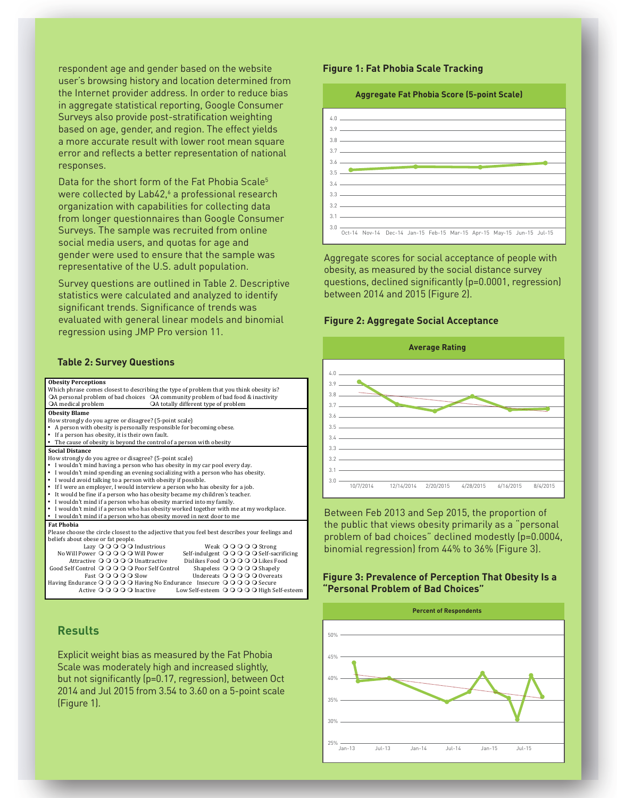respondent age and gender based on the website user's browsing history and location determined from the Internet provider address. In order to reduce bias in aggregate statistical reporting, Google Consumer Surveys also provide post-stratification weighting based on age, gender, and region. The effect yields a more accurate result with lower root mean square error and reflects a better representation of national responses.

Data for the short form of the Fat Phobia Scale<sup>5</sup> were collected by Lab42,6 a professional research organization with capabilities for collecting data from longer questionnaires than Google Consumer Surveys. The sample was recruited from online social media users, and quotas for age and gender were used to ensure that the sample was representative of the U.S. adult population.

Survey questions are outlined in Table 2. Descriptive statistics were calculated and analyzed to identify significant trends. Significance of trends was evaluated with general linear models and binomial  $\epsilon$  regression using JMP Pro version 11.

## **Table 2: Survey Questions**

#### **Obesity Perceptions** Which phrase comes closest to describing the type of problem that you think obesity is?<br>OA personal problem of bad choices OA community problem of bad food & inactivity OA medical problem <br>  $\bigcirc$  A totally different type of problem **Obesity Blame** How strongly do you agree or disagree? (5-point scale) A person with obesity is personally responsible for becoming obese. If a person has obesity, it is their own fault. The cause of obesity is beyond the control of a person with obesity **Social Distance** How strongly do you agree or disagree? (5-point scale) I wouldn't mind having a person who has obesity in my car pool every day. • I wouldn't mind spending an evening socializing with a person who has obesity. - I would avoid talking to a person with obesity if possible.<br>- If I were an employer, I would interview a person who has obesity for a job. It would be fine if a person who has obesity became my children's teacher. • I wouldn't mind if a person who has obesity married into my family. I wouldn't mind if a person who has obesity worked together with me at my workplace. I wouldn't mind if a person who has obesity moved in next door to me **Fat Phobia** Please choose the circle closest to the adjective that you feel best describes your feelings and beliefs about obese or fat people.<br>
Lazy  $\bigcirc$   $\bigcirc$   $\bigcirc$   $\bigcirc$   $\bigcirc$  Industrious Lazy  $\bigcirc$   $\bigcirc$   $\bigcirc$   $\bigcirc$  Industrious Weak  $\bigcirc$   $\bigcirc$   $\bigcirc$   $\bigcirc$  Strong<br>
No Will Power  $\bigcirc$   $\bigcirc$   $\bigcirc$   $\bigcirc$   $\bigcirc$  Will Power Self-indulgent  $\bigcirc$   $\bigcirc$   $\bigcirc$   $\bigcirc$   $\bigcirc$  Self-sac Will Power **O** O O O O Will Power Self-indulgent **O** O O O O Self-sacrificing<br>Attractive **O** O O O Unattractive Dislikes Food **O** O O O Likes Food Dislikes Food OOOO Likes Food<br>Shapeless OOOOO Shapely Good Self Control **O O O O Poor Self Control** Shapeless **O O O O Shapely**<br>Fast **O O O O Slow** Undereats **O O O O** O wereats Fast **O** O O O Slow Undereats **O** O O O O Vereats<br>Having Endurance O O O O Having No Endurance Insecure O O O O Secure Active OOOOO Inactive Low Self-esteem OOOOO High Self-esteer

## **Results** Explicit 
 weight 
 bias 
 as 
 measured 
 by 
 the 
 Fat 
 Phobia 
 Scale 
 was 
 moderately 
 high 
 and increased

Explicit weight bias as measured by the Fat Phobia Scale was moderately high and increased slightly, but not significantly (p=0.17, regression), between Oct 2014 and Jul 2015 from 3.54 to 3.60 on a 5-point scale (Figure 1).

### **Figure 1: Fat Phobia Scale Tracking**

#### **Aggregate Fat Phobia Score (5-point Scale)**



Aggregate scores for social acceptance of people with obesity, as measured by the social distance survey questions, declined significantly (p=0.0001, regression) between 2014 and 2015 (Figure 2).

### **Figure 2: Aggregate Social Acceptance**



Between Feb 2013 and Sep 2015, the proportion of the public that views obesity primarily as a "personal problem of bad choices" declined modestly (p=0.0004, binomial regression) from 44% to 36% (Figure 3).

### **Figure 3: Prevalence of Perception That Obesity Is a "Personal Problem of Bad Choices"**